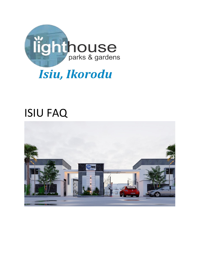

# ISIU FAQ

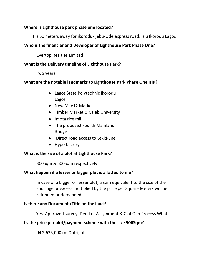# **Where is Lighthouse park phase one located?**

It is 50 meters away for ikorodu/Ijebu-Ode express road, Isiu Ikorodu Lagos

# **Who is the financier and Developer of Lighthouse Park Phase One?**

Evertop Realties Limited

# **What is the Delivery timeline of Lighthouse Park?**

Two years

# **What are the notable landmarks to Lighthouse Park Phase One Isiu?**

- Lagos State Polytechnic Ikorodu Lagos
- New Mile12 Market
- Timber Market  $\circ$  Caleb University
- Imota rice mill
- The proposed Fourth Mainland Bridge
- Direct road access to Lekki-Epe
- Hypo factory

# **What is the size of a plot at Lighthouse Park?**

300Sqm & 500Sqm respectively.

# **What happen if a lesser or bigger plot is allotted to me?**

In case of a bigger or lesser plot, a sum equivalent to the size of the shortage or excess multiplied by the price per Square Meters will be refunded or demanded.

## **Is there any Document /Title on the land?**

Yes, Approved survey, Deed of Assignment & C of O in Process What

# **I s the price per plot/payment scheme with the size 500Sqm?**

**N** 2,625,000 on Outright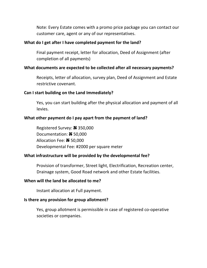Note: Every Estate comes with a promo price package you can contact our customer care, agent or any of our representatives.

#### **What do I get after I have completed payment for the land?**

Final payment receipt, letter for allocation, Deed of Assignment (after completion of all payments)

#### **What documents are expected to be collected after all necessary payments?**

Receipts, letter of allocation, survey plan, Deed of Assignment and Estate restrictive covenant.

#### **Can I start building on the Land Immediately?**

Yes, you can start building after the physical allocation and payment of all levies.

## **What other payment do I pay apart from the payment of land?**

Registered Survey: **N** 350,000 Documentation: **N** 50,000 Allocation Fee: **N** 50,000 Developmental Fee: #2000 per square meter

#### **What infrastructure will be provided by the developmental fee?**

Provision of transformer, Street light, Electrification, Recreation center, Drainage system, Good Road network and other Estate facilities.

#### **When will the land be allocated to me?**

Instant allocation at Full payment.

#### **Is there any provision for group allotment?**

Yes, group allotment is permissible in case of registered co-operative societies or companies.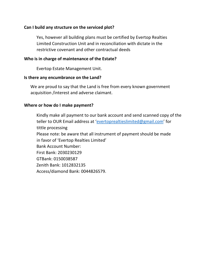## **Can I build any structure on the serviced plot?**

Yes, however all building plans must be certified by Evertop Realties Limited Construction Unit and in reconciliation with dictate in the restrictive covenant and other contractual deeds

## **Who is in charge of maintenance of the Estate?**

Evertop Estate Management Unit.

## **Is there any encumbrance on the Land?**

We are proud to say that the Land is free from every known government acquisition /interest and adverse claimant.

## **Where or how do I make payment?**

Kindly make all payment to our bank account and send scanned copy of the teller to OUR Email address at 'evertoprealtieslimited@gmail.com' for tittle processing Please note: be aware that all instrument of payment should be made in favor of 'Evertop Realties Limited' Bank Account Number: First Bank: 2030230129 GTBank: 0150038587 Zenith Bank: 1012832135 Access/diamond Bank: 0044826579.